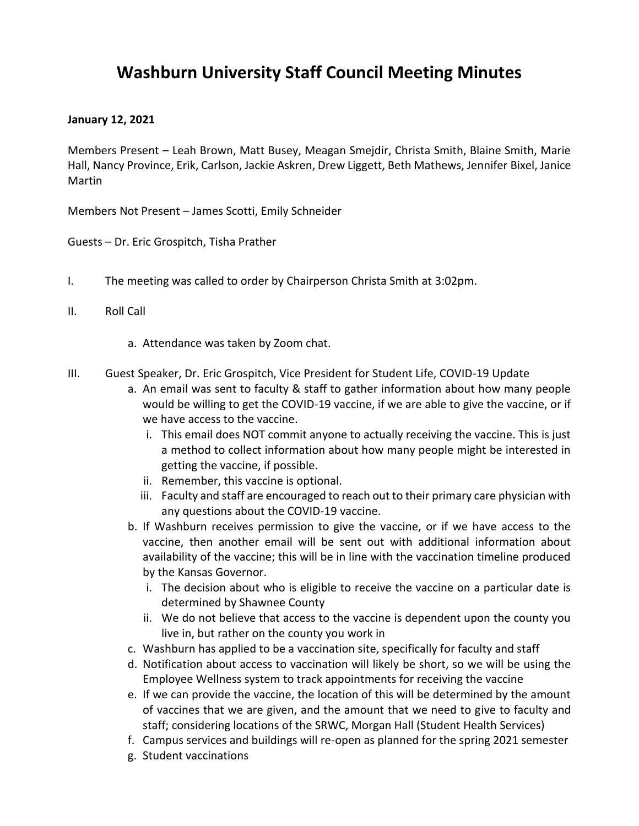## **Washburn University Staff Council Meeting Minutes**

## **January 12, 2021**

Members Present – Leah Brown, Matt Busey, Meagan Smejdir, Christa Smith, Blaine Smith, Marie Hall, Nancy Province, Erik, Carlson, Jackie Askren, Drew Liggett, Beth Mathews, Jennifer Bixel, Janice Martin

Members Not Present – James Scotti, Emily Schneider

Guests – Dr. Eric Grospitch, Tisha Prather

- I. The meeting was called to order by Chairperson Christa Smith at 3:02pm.
- II. Roll Call
	- a. Attendance was taken by Zoom chat.
- III. Guest Speaker, Dr. Eric Grospitch, Vice President for Student Life, COVID-19 Update
	- a. An email was sent to faculty & staff to gather information about how many people would be willing to get the COVID-19 vaccine, if we are able to give the vaccine, or if we have access to the vaccine.
		- i. This email does NOT commit anyone to actually receiving the vaccine. This is just a method to collect information about how many people might be interested in getting the vaccine, if possible.
		- ii. Remember, this vaccine is optional.
		- iii. Faculty and staff are encouraged to reach out to their primary care physician with any questions about the COVID-19 vaccine.
	- b. If Washburn receives permission to give the vaccine, or if we have access to the vaccine, then another email will be sent out with additional information about availability of the vaccine; this will be in line with the vaccination timeline produced by the Kansas Governor.
		- i. The decision about who is eligible to receive the vaccine on a particular date is determined by Shawnee County
		- ii. We do not believe that access to the vaccine is dependent upon the county you live in, but rather on the county you work in
	- c. Washburn has applied to be a vaccination site, specifically for faculty and staff
	- d. Notification about access to vaccination will likely be short, so we will be using the Employee Wellness system to track appointments for receiving the vaccine
	- e. If we can provide the vaccine, the location of this will be determined by the amount of vaccines that we are given, and the amount that we need to give to faculty and staff; considering locations of the SRWC, Morgan Hall (Student Health Services)
	- f. Campus services and buildings will re-open as planned for the spring 2021 semester
	- g. Student vaccinations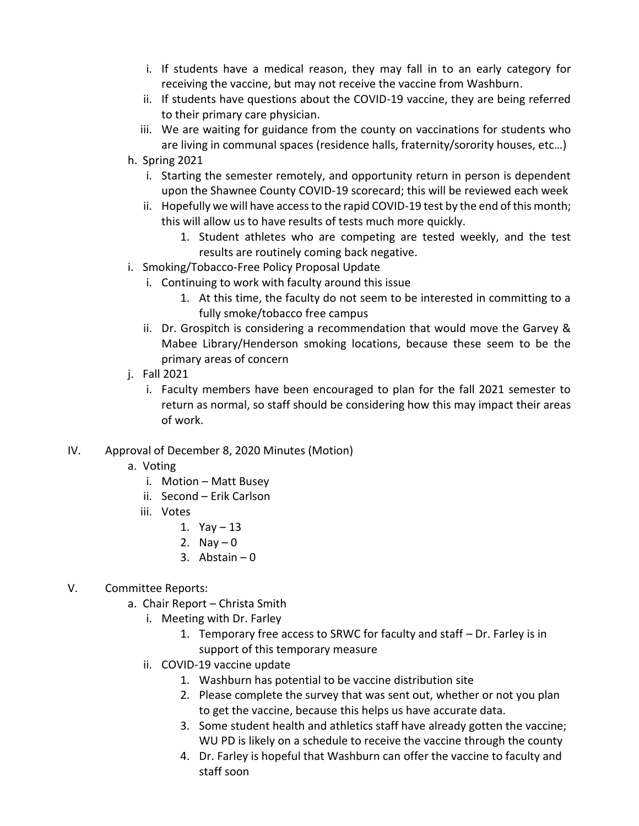- i. If students have a medical reason, they may fall in to an early category for receiving the vaccine, but may not receive the vaccine from Washburn.
- ii. If students have questions about the COVID-19 vaccine, they are being referred to their primary care physician.
- iii. We are waiting for guidance from the county on vaccinations for students who are living in communal spaces (residence halls, fraternity/sorority houses, etc…)
- h. Spring 2021
	- i. Starting the semester remotely, and opportunity return in person is dependent upon the Shawnee County COVID-19 scorecard; this will be reviewed each week
	- ii. Hopefully we will have access to the rapid COVID-19 test by the end of this month; this will allow us to have results of tests much more quickly.
		- 1. Student athletes who are competing are tested weekly, and the test results are routinely coming back negative.
- i. Smoking/Tobacco-Free Policy Proposal Update
	- i. Continuing to work with faculty around this issue
		- 1. At this time, the faculty do not seem to be interested in committing to a fully smoke/tobacco free campus
	- ii. Dr. Grospitch is considering a recommendation that would move the Garvey & Mabee Library/Henderson smoking locations, because these seem to be the primary areas of concern
- j. Fall 2021
	- i. Faculty members have been encouraged to plan for the fall 2021 semester to return as normal, so staff should be considering how this may impact their areas of work.
- IV. Approval of December 8, 2020 Minutes (Motion)
	- a. Voting
		- i. Motion Matt Busey
		- ii. Second Erik Carlson
		- iii. Votes
			- 1.  $Yay 13$
			- 2. Nay  $-0$
			- 3. Abstain  $-0$
- V. Committee Reports:
	- a. Chair Report Christa Smith
		- i. Meeting with Dr. Farley
			- 1. Temporary free access to SRWC for faculty and staff Dr. Farley is in support of this temporary measure
		- ii. COVID-19 vaccine update
			- 1. Washburn has potential to be vaccine distribution site
			- 2. Please complete the survey that was sent out, whether or not you plan to get the vaccine, because this helps us have accurate data.
			- 3. Some student health and athletics staff have already gotten the vaccine; WU PD is likely on a schedule to receive the vaccine through the county
			- 4. Dr. Farley is hopeful that Washburn can offer the vaccine to faculty and staff soon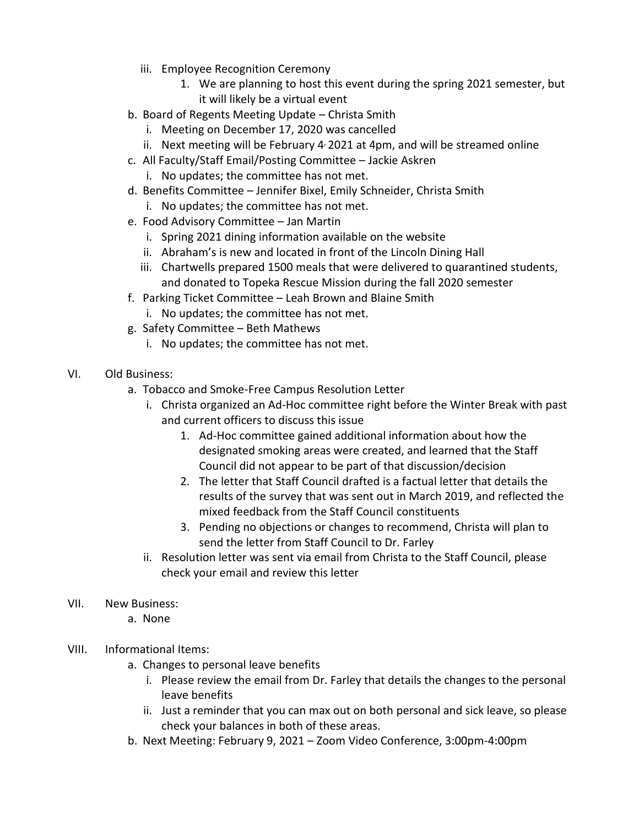- iii. Employee Recognition Ceremony
	- 1. We are planning to host this event during the spring 2021 semester, but it will likely be a virtual event
- b. Board of Regents Meeting Update Christa Smith
	- i. Meeting on December 17, 2020 was cancelled
	- ii. Next meeting will be February 4<sup>,</sup> 2021 at 4pm, and will be streamed online
- c. All Faculty/Staff Email/Posting Committee Jackie Askren
	- i. No updates; the committee has not met.
- d. Benefits Committee Jennifer Bixel, Emily Schneider, Christa Smith
	- i. No updates; the committee has not met.
- e. Food Advisory Committee Jan Martin
	- i. Spring 2021 dining information available on the website
	- ii. Abraham's is new and located in front of the Lincoln Dining Hall
	- iii. Chartwells prepared 1500 meals that were delivered to quarantined students, and donated to Topeka Rescue Mission during the fall 2020 semester
- f. Parking Ticket Committee Leah Brown and Blaine Smith
	- i. No updates; the committee has not met.
- g. Safety Committee Beth Mathews
	- i. No updates; the committee has not met.
- VI. Old Business:
	- a. Tobacco and Smoke-Free Campus Resolution Letter
		- i. Christa organized an Ad-Hoc committee right before the Winter Break with past and current officers to discuss this issue
			- 1. Ad-Hoc committee gained additional information about how the designated smoking areas were created, and learned that the Staff Council did not appear to be part of that discussion/decision
			- 2. The letter that Staff Council drafted is a factual letter that details the results of the survey that was sent out in March 2019, and reflected the mixed feedback from the Staff Council constituents
			- 3. Pending no objections or changes to recommend, Christa will plan to send the letter from Staff Council to Dr. Farley
		- ii. Resolution letter was sent via email from Christa to the Staff Council, please check your email and review this letter
- VII. New Business:
	- a. None
- VIII. Informational Items:
	- a. Changes to personal leave benefits
		- i. Please review the email from Dr. Farley that details the changes to the personal leave benefits
		- ii. Just a reminder that you can max out on both personal and sick leave, so please check your balances in both of these areas.
	- b. Next Meeting: February 9, 2021 Zoom Video Conference, 3:00pm-4:00pm